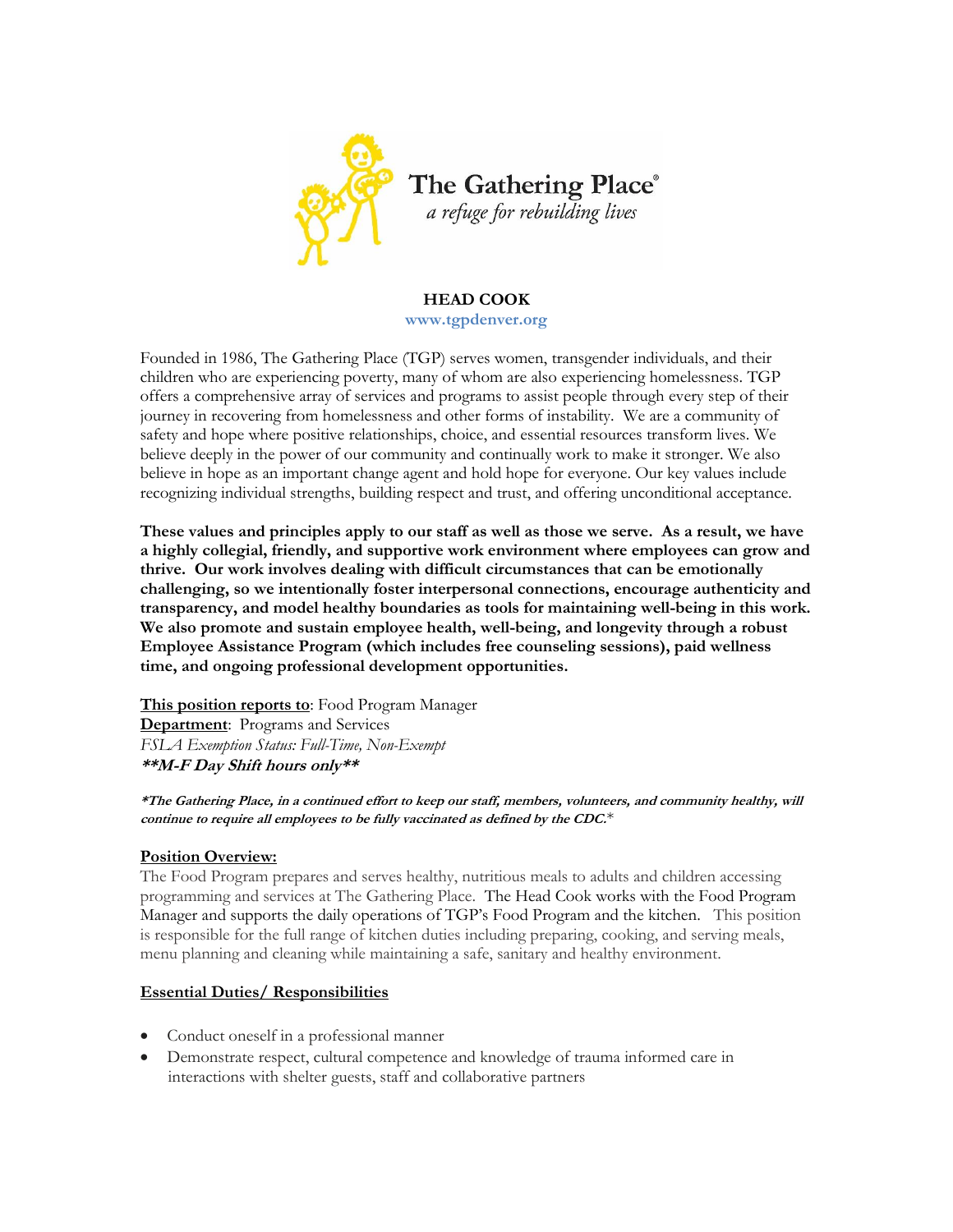

# **HEAD COOK**

**www.tgpdenver.org**

Founded in 1986, The Gathering Place (TGP) serves women, transgender individuals, and their children who are experiencing poverty, many of whom are also experiencing homelessness. TGP offers a comprehensive array of services and programs to assist people through every step of their journey in recovering from homelessness and other forms of instability. We are a community of safety and hope where positive relationships, choice, and essential resources transform lives. We believe deeply in the power of our community and continually work to make it stronger. We also believe in hope as an important change agent and hold hope for everyone. Our key values include recognizing individual strengths, building respect and trust, and offering unconditional acceptance.

**These values and principles apply to our staff as well as those we serve. As a result, we have a highly collegial, friendly, and supportive work environment where employees can grow and thrive. Our work involves dealing with difficult circumstances that can be emotionally challenging, so we intentionally foster interpersonal connections, encourage authenticity and transparency, and model healthy boundaries as tools for maintaining well-being in this work. We also promote and sustain employee health, well-being, and longevity through a robust Employee Assistance Program (which includes free counseling sessions), paid wellness time, and ongoing professional development opportunities.**

**This position reports to**: Food Program Manager **Department:** Programs and Services *FSLA Exemption Status: Full-Time, Non-Exempt* **\*\*M-F Day Shift hours only\*\***

**\*The Gathering Place, in a continued effort to keep our staff, members, volunteers, and community healthy, will continue to require all employees to be fully vaccinated as defined by the CDC.**\*

#### **Position Overview:**

The Food Program prepares and serves healthy, nutritious meals to adults and children accessing programming and services at The Gathering Place. The Head Cook works with the Food Program Manager and supports the daily operations of TGP's Food Program and the kitchen. This position is responsible for the full range of kitchen duties including preparing, cooking, and serving meals, menu planning and cleaning while maintaining a safe, sanitary and healthy environment.

# **Essential Duties/ Responsibilities**

- Conduct oneself in a professional manner
- Demonstrate respect, cultural competence and knowledge of trauma informed care in interactions with shelter guests, staff and collaborative partners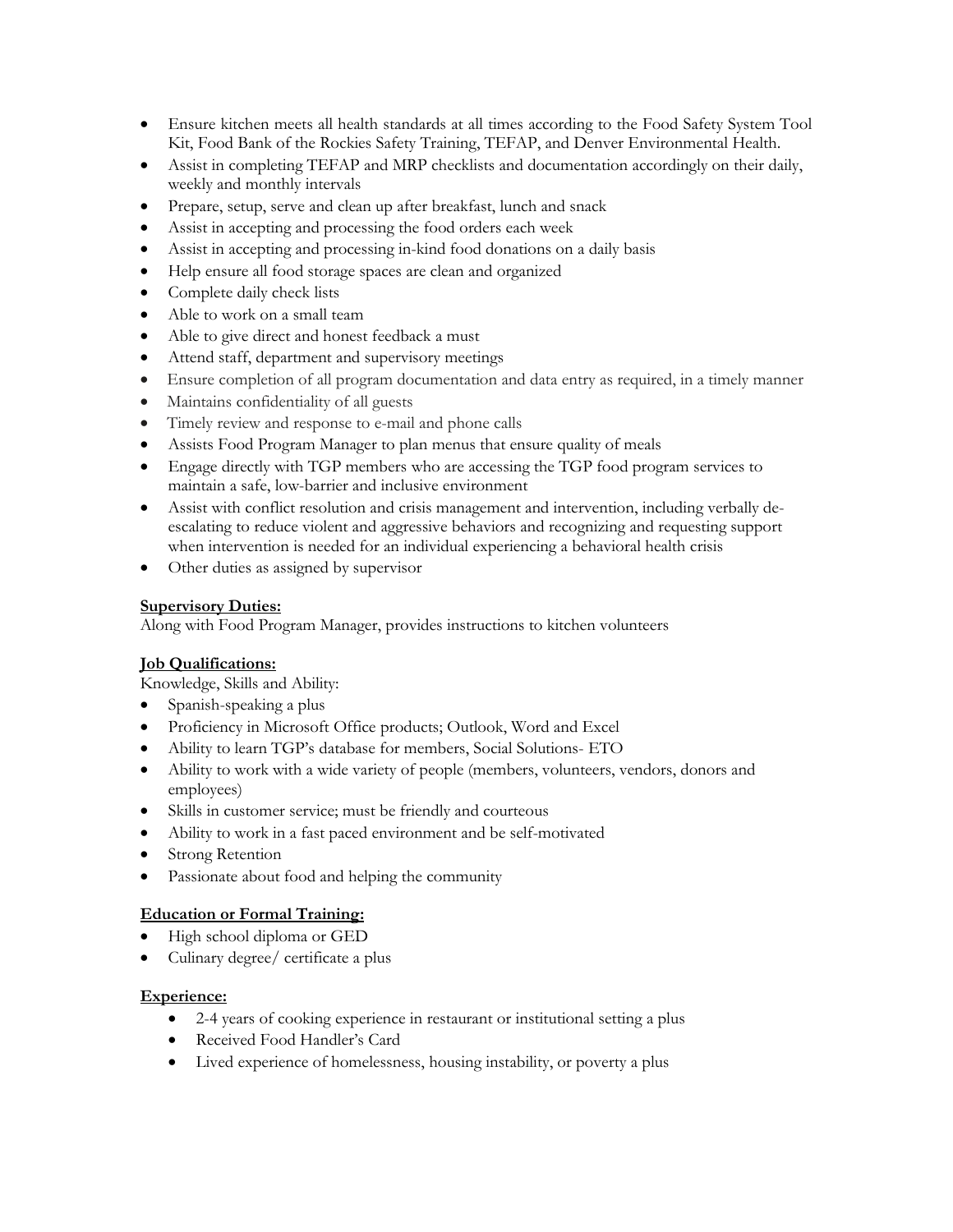- Ensure kitchen meets all health standards at all times according to the Food Safety System Tool Kit, Food Bank of the Rockies Safety Training, TEFAP, and Denver Environmental Health.
- Assist in completing TEFAP and MRP checklists and documentation accordingly on their daily, weekly and monthly intervals
- Prepare, setup, serve and clean up after breakfast, lunch and snack
- Assist in accepting and processing the food orders each week
- Assist in accepting and processing in-kind food donations on a daily basis
- Help ensure all food storage spaces are clean and organized
- Complete daily check lists
- Able to work on a small team
- Able to give direct and honest feedback a must
- Attend staff, department and supervisory meetings
- Ensure completion of all program documentation and data entry as required, in a timely manner
- Maintains confidentiality of all guests
- Timely review and response to e-mail and phone calls
- Assists Food Program Manager to plan menus that ensure quality of meals
- Engage directly with TGP members who are accessing the TGP food program services to maintain a safe, low-barrier and inclusive environment
- Assist with conflict resolution and crisis management and intervention, including verbally deescalating to reduce violent and aggressive behaviors and recognizing and requesting support when intervention is needed for an individual experiencing a behavioral health crisis
- Other duties as assigned by supervisor

### **Supervisory Duties:**

Along with Food Program Manager, provides instructions to kitchen volunteers

# **Job Qualifications:**

Knowledge, Skills and Ability:

- Spanish-speaking a plus
- Proficiency in Microsoft Office products; Outlook, Word and Excel
- Ability to learn TGP's database for members, Social Solutions- ETO
- Ability to work with a wide variety of people (members, volunteers, vendors, donors and employees)
- Skills in customer service; must be friendly and courteous
- Ability to work in a fast paced environment and be self-motivated
- Strong Retention
- Passionate about food and helping the community

#### **Education or Formal Training:**

- High school diploma or GED
- Culinary degree/ certificate a plus

#### **Experience:**

- 2-4 years of cooking experience in restaurant or institutional setting a plus
- Received Food Handler's Card
- Lived experience of homelessness, housing instability, or poverty a plus